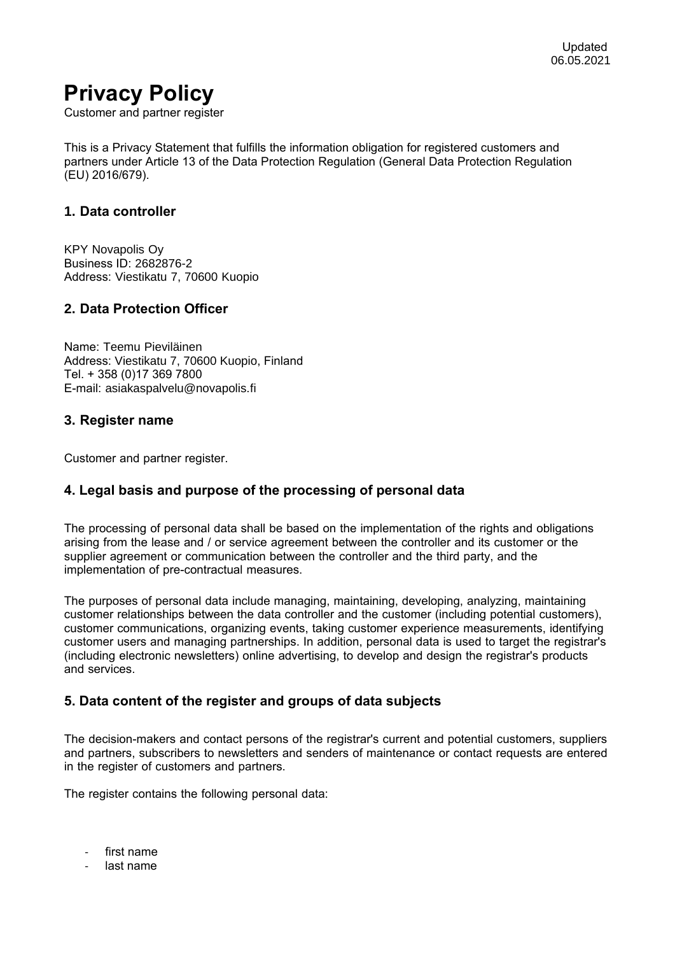# **Privacy Policy**

Customer and partner register

This is a Privacy Statement that fulfills the information obligation for registered customers and partners under Article 13 of the Data Protection Regulation (General Data Protection Regulation (EU) 2016/679).

# **1. Data controller**

KPY Novapolis Oy Business ID: 2682876-2 Address: Viestikatu 7, 70600 Kuopio

# **2. Data Protection Officer**

Name: Teemu Pieviläinen Address: Viestikatu 7, 70600 Kuopio, Finland Tel. + 358 (0)17 369 7800 E-mail: asiakaspalvelu@novapolis.fi

#### **3. Register name**

Customer and partner register.

# **4. Legal basis and purpose of the processing of personal data**

The processing of personal data shall be based on the implementation of the rights and obligations arising from the lease and / or service agreement between the controller and its customer or the supplier agreement or communication between the controller and the third party, and the implementation of pre-contractual measures.

The purposes of personal data include managing, maintaining, developing, analyzing, maintaining customer relationships between the data controller and the customer (including potential customers), customer communications, organizing events, taking customer experience measurements, identifying customer users and managing partnerships. In addition, personal data is used to target the registrar's (including electronic newsletters) online advertising, to develop and design the registrar's products and services.

# **5. Data content of the register and groups of data subjects**

The decision-makers and contact persons of the registrar's current and potential customers, suppliers and partners, subscribers to newsletters and senders of maintenance or contact requests are entered in the register of customers and partners.

The register contains the following personal data:

- first name
- last name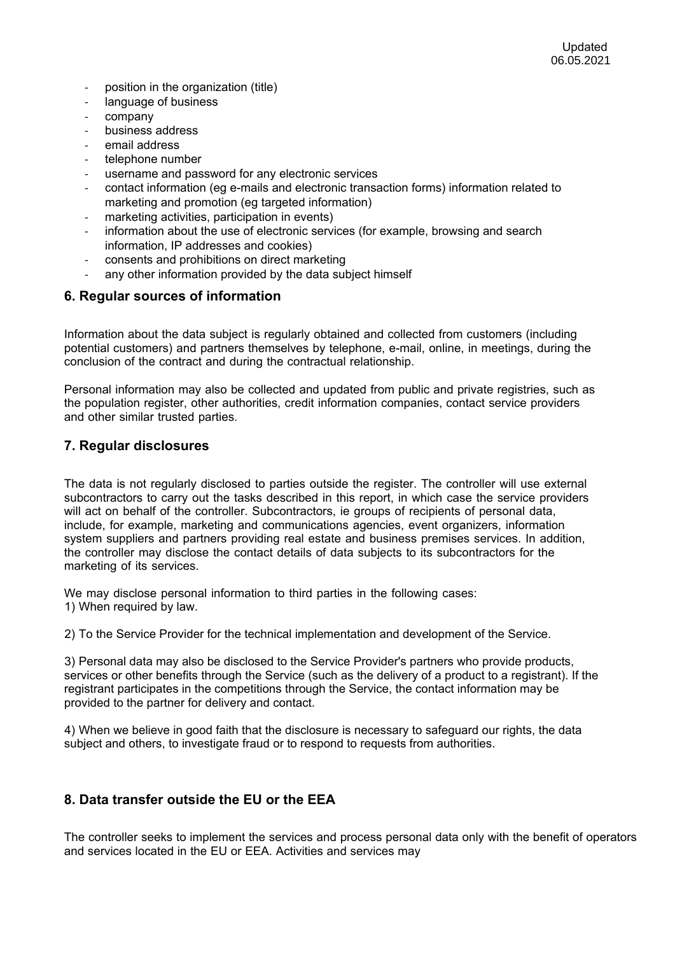- position in the organization (title)
- language of business
- company
- business address
- email address
- telephone number
- username and password for any electronic services
- contact information (eg e-mails and electronic transaction forms) information related to marketing and promotion (eg targeted information)
- marketing activities, participation in events)
- information about the use of electronic services (for example, browsing and search information, IP addresses and cookies)
- consents and prohibitions on direct marketing
- any other information provided by the data subject himself

#### **6. Regular sources of information**

Information about the data subject is regularly obtained and collected from customers (including potential customers) and partners themselves by telephone, e-mail, online, in meetings, during the conclusion of the contract and during the contractual relationship.

Personal information may also be collected and updated from public and private registries, such as the population register, other authorities, credit information companies, contact service providers and other similar trusted parties.

#### **7. Regular disclosures**

The data is not regularly disclosed to parties outside the register. The controller will use external subcontractors to carry out the tasks described in this report, in which case the service providers will act on behalf of the controller. Subcontractors, ie groups of recipients of personal data, include, for example, marketing and communications agencies, event organizers, information system suppliers and partners providing real estate and business premises services. In addition, the controller may disclose the contact details of data subjects to its subcontractors for the marketing of its services.

We may disclose personal information to third parties in the following cases: 1) When required by law.

2) To the Service Provider for the technical implementation and development of the Service.

3) Personal data may also be disclosed to the Service Provider's partners who provide products, services or other benefits through the Service (such as the delivery of a product to a registrant). If the registrant participates in the competitions through the Service, the contact information may be provided to the partner for delivery and contact.

4) When we believe in good faith that the disclosure is necessary to safeguard our rights, the data subject and others, to investigate fraud or to respond to requests from authorities.

# **8. Data transfer outside the EU or the EEA**

The controller seeks to implement the services and process personal data only with the benefit of operators and services located in the EU or EEA. Activities and services may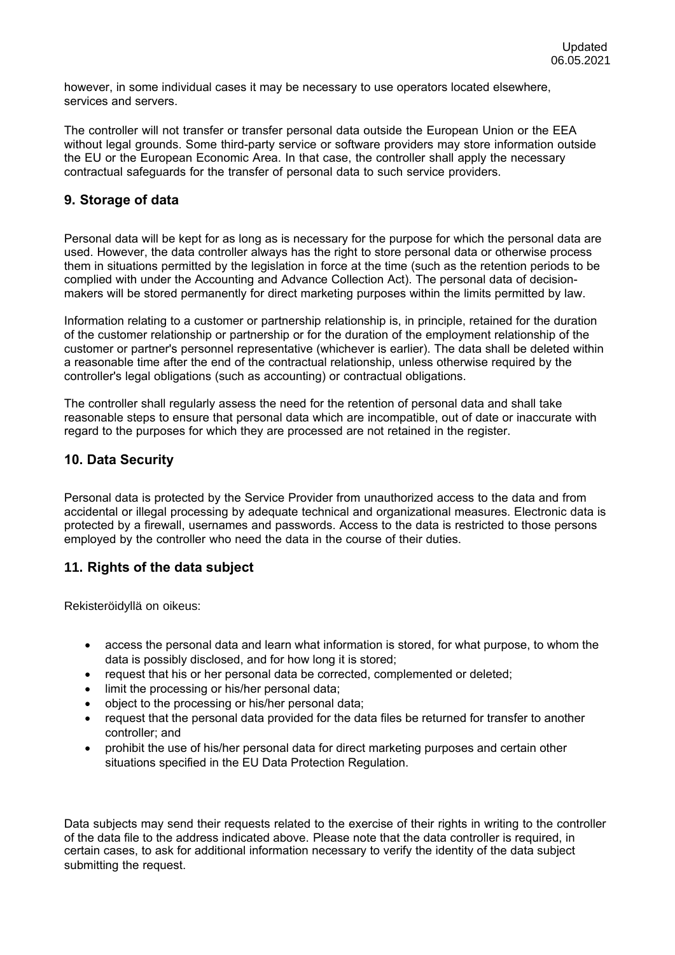however, in some individual cases it may be necessary to use operators located elsewhere, services and servers.

The controller will not transfer or transfer personal data outside the European Union or the EEA without legal grounds. Some third-party service or software providers may store information outside the EU or the European Economic Area. In that case, the controller shall apply the necessary contractual safeguards for the transfer of personal data to such service providers.

# **9. Storage of data**

Personal data will be kept for as long as is necessary for the purpose for which the personal data are used. However, the data controller always has the right to store personal data or otherwise process them in situations permitted by the legislation in force at the time (such as the retention periods to be complied with under the Accounting and Advance Collection Act). The personal data of decisionmakers will be stored permanently for direct marketing purposes within the limits permitted by law.

Information relating to a customer or partnership relationship is, in principle, retained for the duration of the customer relationship or partnership or for the duration of the employment relationship of the customer or partner's personnel representative (whichever is earlier). The data shall be deleted within a reasonable time after the end of the contractual relationship, unless otherwise required by the controller's legal obligations (such as accounting) or contractual obligations.

The controller shall regularly assess the need for the retention of personal data and shall take reasonable steps to ensure that personal data which are incompatible, out of date or inaccurate with regard to the purposes for which they are processed are not retained in the register.

# **10. Data Security**

Personal data is protected by the Service Provider from unauthorized access to the data and from accidental or illegal processing by adequate technical and organizational measures. Electronic data is protected by a firewall, usernames and passwords. Access to the data is restricted to those persons employed by the controller who need the data in the course of their duties.

# **11. Rights of the data subject**

Rekisteröidyllä on oikeus:

- access the personal data and learn what information is stored, for what purpose, to whom the data is possibly disclosed, and for how long it is stored;
- request that his or her personal data be corrected, complemented or deleted;
- limit the processing or his/her personal data;
- object to the processing or his/her personal data;
- request that the personal data provided for the data files be returned for transfer to another controller; and
- prohibit the use of his/her personal data for direct marketing purposes and certain other situations specified in the EU Data Protection Regulation.

Data subjects may send their requests related to the exercise of their rights in writing to the controller of the data file to the address indicated above. Please note that the data controller is required, in certain cases, to ask for additional information necessary to verify the identity of the data subject submitting the request.